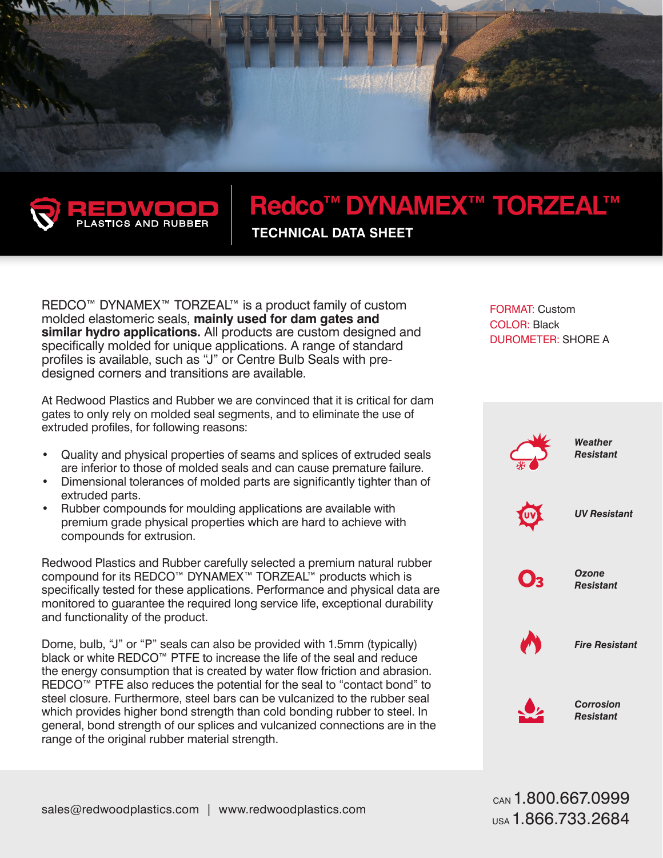



## **Redco™DYNAMEX™ TORZEAL™**

**TECHNICAL DATA SHEET**

REDCO™ DYNAMEX™ TORZEAL™ is a product family of custom molded elastomeric seals, **mainly used for dam gates and similar hydro applications.** All products are custom designed and specifically molded for unique applications. A range of standard profiles is available, such as "J" or Centre Bulb Seals with predesigned corners and transitions are available.

At Redwood Plastics and Rubber we are convinced that it is critical for dam gates to only rely on molded seal segments, and to eliminate the use of extruded profiles, for following reasons:

- Quality and physical properties of seams and splices of extruded seals are inferior to those of molded seals and can cause premature failure.
- Dimensional tolerances of molded parts are significantly tighter than of extruded parts.
- Rubber compounds for moulding applications are available with premium grade physical properties which are hard to achieve with compounds for extrusion.

Redwood Plastics and Rubber carefully selected a premium natural rubber compound for its REDCO™ DYNAMEX™ TORZEAL™ products which is specifically tested for these applications. Performance and physical data are monitored to guarantee the required long service life, exceptional durability and functionality of the product.

Dome, bulb, "J" or "P" seals can also be provided with 1.5mm (typically) black or white REDCO™ PTFE to increase the life of the seal and reduce the energy consumption that is created by water flow friction and abrasion. REDCO<sup>™</sup> PTFE also reduces the potential for the seal to "contact bond" to steel closure. Furthermore, steel bars can be vulcanized to the rubber seal which provides higher bond strength than cold bonding rubber to steel. In general, bond strength of our splices and vulcanized connections are in the range of the original rubber material strength.

FORMAT: Custom COLOR: Black DUROMETER: SHORE A